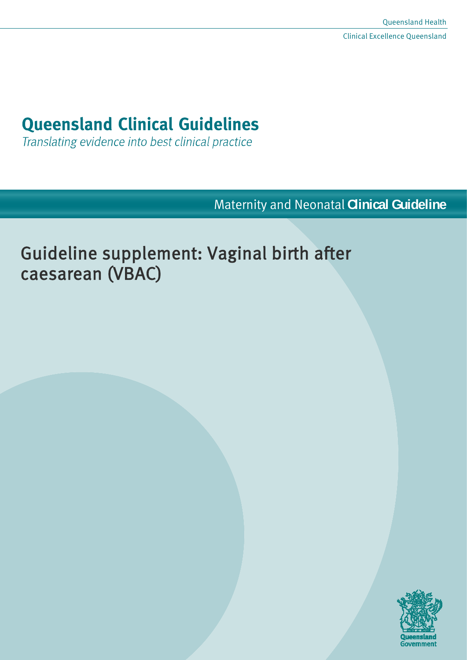# **Queensland Clinical Guidelines**

Translating evidence into best clinical practice

Maternity and Neonatal **Clinical Guideline**

# Guideline supplement: Vaginal birth after caesarean (VBAC)

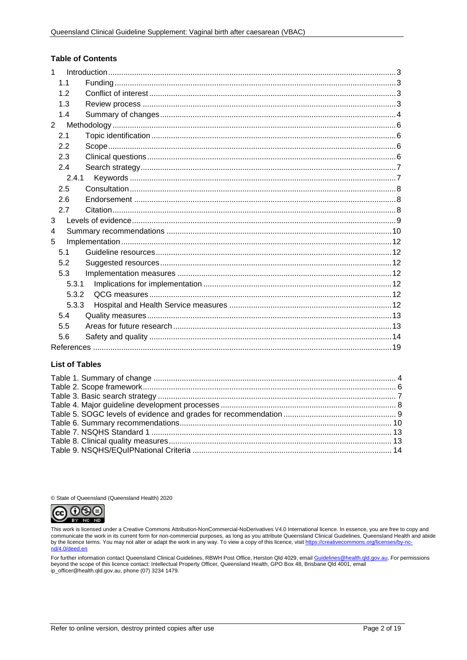#### **Table of Contents**

| $\mathbf{1}$   |       |  |
|----------------|-------|--|
|                | 1.1   |  |
|                | 1.2   |  |
|                | 1.3   |  |
|                | 1.4   |  |
| $\overline{2}$ |       |  |
|                | 2.1   |  |
|                | 2.2   |  |
|                | 2.3   |  |
|                | 2.4   |  |
|                | 2.4.1 |  |
|                | 2.5   |  |
|                | 2.6   |  |
|                | 2.7   |  |
| 3              |       |  |
| 4              |       |  |
| 5              |       |  |
|                | 5.1   |  |
|                | 5.2   |  |
|                | 5.3   |  |
|                | 5.3.1 |  |
|                | 5.3.2 |  |
|                | 5.3.3 |  |
|                | 5.4   |  |
|                | 5.5   |  |
|                | 5.6   |  |
|                |       |  |

#### **List of Tables**

© State of Queensland (Queensland Health) 2020



This work is licensed under a Creative Commons Attribution-NonCommercial-NoDerivatives V4.0 International licence. In essence, you are free to copy and communicate the work in its current form for non-commercial purposes, as long as you attribute Queensland Clinical Guidelines, Queensland Health and abide<br>by the licence terms. You may not alter or adapt the work in any wa

For further information contact Queensland Clinical Guidelines, RBWH Post Office, Herston Qld 4029, email <u>Guidelines@health.qld.qov.au</u>, For permissions<br>beyond the scope of this licence contact: Intellectual Property Offi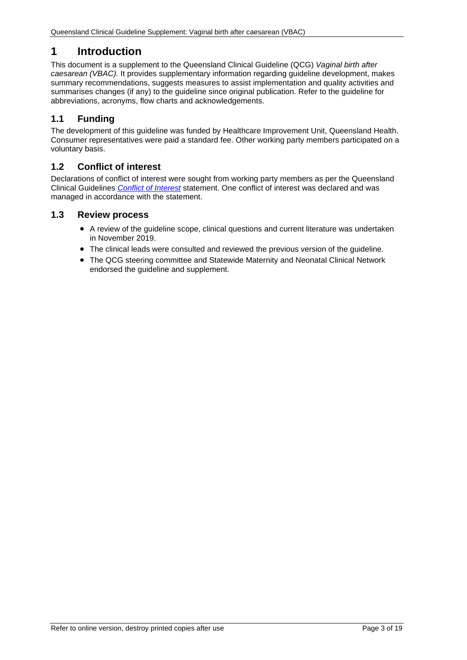# <span id="page-2-0"></span>**1 Introduction**

This document is a supplement to the Queensland Clinical Guideline (QCG) *Vaginal birth after caesarean (VBAC).* It provides supplementary information regarding guideline development, makes summary recommendations, suggests measures to assist implementation and quality activities and summarises changes (if any) to the guideline since original publication. Refer to the guideline for abbreviations, acronyms, flow charts and acknowledgements.

# <span id="page-2-1"></span>**1.1 Funding**

The development of this guideline was funded by Healthcare Improvement Unit, Queensland Health. Consumer representatives were paid a standard fee. Other working party members participated on a voluntary basis.

# <span id="page-2-2"></span>**1.2 Conflict of interest**

Declarations of conflict of interest were sought from working party members as per the Queensland Clinical Guidelines *[Conflict of Interest](http://www.health.qld.gov.au/qcg/development#coi)* statement. One conflict of interest was declared and was managed in accordance with the statement.

# <span id="page-2-3"></span>**1.3 Review process**

- A review of the guideline scope, clinical questions and current literature was undertaken in November 2019.
- The clinical leads were consulted and reviewed the previous version of the guideline.
- The QCG steering committee and Statewide Maternity and Neonatal Clinical Network endorsed the guideline and supplement.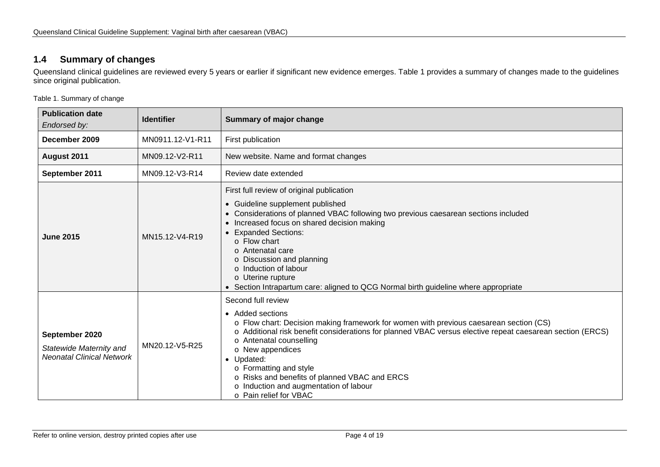# **1.4 Summary of changes**

Queensland clinical guidelines are reviewed every 5 years or earlier if significant new evidence emerges. [Table 1](#page-3-2) provides a summary of changes made to the guidelines since original publication.

<span id="page-3-2"></span>Table 1. Summary of change

<span id="page-3-1"></span><span id="page-3-0"></span>

| <b>Publication date</b><br><b>Identifier</b><br>Endorsed by:                  |                  | Summary of major change                                                                                                                                                                                                                                                                                                                                                                                                                                   |  |
|-------------------------------------------------------------------------------|------------------|-----------------------------------------------------------------------------------------------------------------------------------------------------------------------------------------------------------------------------------------------------------------------------------------------------------------------------------------------------------------------------------------------------------------------------------------------------------|--|
| December 2009                                                                 | MN0911.12-V1-R11 | First publication                                                                                                                                                                                                                                                                                                                                                                                                                                         |  |
| August 2011                                                                   | MN09.12-V2-R11   | New website. Name and format changes                                                                                                                                                                                                                                                                                                                                                                                                                      |  |
| September 2011                                                                | MN09.12-V3-R14   | Review date extended                                                                                                                                                                                                                                                                                                                                                                                                                                      |  |
| <b>June 2015</b>                                                              | MN15.12-V4-R19   | First full review of original publication<br>• Guideline supplement published<br>Considerations of planned VBAC following two previous caesarean sections included<br>Increased focus on shared decision making<br>• Expanded Sections:<br>$\circ$ Flow chart<br>o Antenatal care<br>o Discussion and planning<br>o Induction of labour<br>o Uterine rupture<br>Section Intrapartum care: aligned to QCG Normal birth guideline where appropriate         |  |
| September 2020<br>Statewide Maternity and<br><b>Neonatal Clinical Network</b> | MN20.12-V5-R25   | Second full review<br>• Added sections<br>o Flow chart: Decision making framework for women with previous caesarean section (CS)<br>o Additional risk benefit considerations for planned VBAC versus elective repeat caesarean section (ERCS)<br>o Antenatal counselling<br>o New appendices<br>• Updated:<br>o Formatting and style<br>o Risks and benefits of planned VBAC and ERCS<br>o Induction and augmentation of labour<br>o Pain relief for VBAC |  |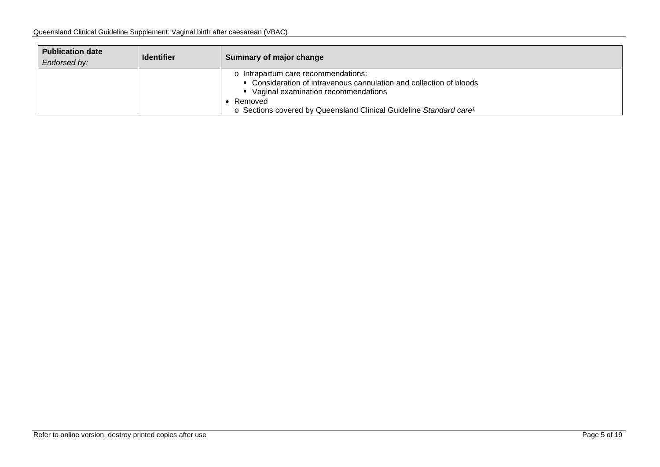| <b>Publication date</b><br>Endorsed by: | <b>Identifier</b> | Summary of major change                                                                                                                           |
|-----------------------------------------|-------------------|---------------------------------------------------------------------------------------------------------------------------------------------------|
|                                         |                   | Intrapartum care recommendations:<br>• Consideration of intravenous cannulation and collection of bloods<br>• Vaginal examination recommendations |
|                                         |                   | Removed<br>o Sections covered by Queensland Clinical Guideline Standard care <sup>1</sup>                                                         |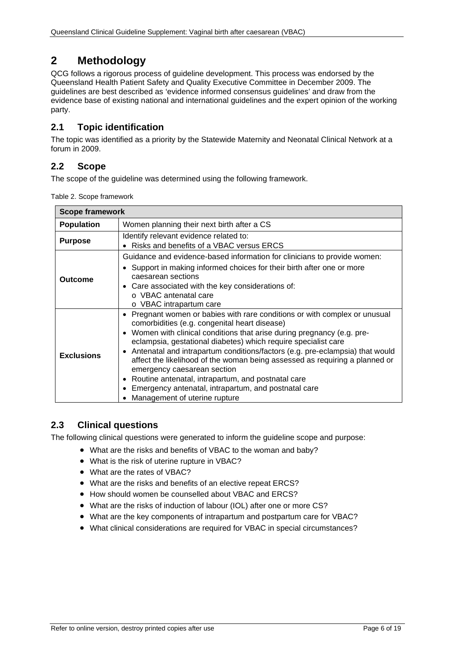# <span id="page-5-0"></span>**2 Methodology**

QCG follows a rigorous process of guideline development. This process was endorsed by the Queensland Health Patient Safety and Quality Executive Committee in December 2009. The guidelines are best described as 'evidence informed consensus guidelines' and draw from the evidence base of existing national and international guidelines and the expert opinion of the working party.

# <span id="page-5-1"></span>**2.1 Topic identification**

The topic was identified as a priority by the Statewide Maternity and Neonatal Clinical Network at a forum in 2009.

# <span id="page-5-2"></span>**2.2 Scope**

<span id="page-5-4"></span>The scope of the guideline was determined using the following framework.

|  |  | Table 2. Scope framework |
|--|--|--------------------------|
|--|--|--------------------------|

| <b>Scope framework</b>                                                                                                                                                                                                                                                                              |                                                                                                                                                                                                                                                                                                                                                                                                                                                                                                                                                                                                                     |  |  |  |
|-----------------------------------------------------------------------------------------------------------------------------------------------------------------------------------------------------------------------------------------------------------------------------------------------------|---------------------------------------------------------------------------------------------------------------------------------------------------------------------------------------------------------------------------------------------------------------------------------------------------------------------------------------------------------------------------------------------------------------------------------------------------------------------------------------------------------------------------------------------------------------------------------------------------------------------|--|--|--|
| Women planning their next birth after a CS<br><b>Population</b>                                                                                                                                                                                                                                     |                                                                                                                                                                                                                                                                                                                                                                                                                                                                                                                                                                                                                     |  |  |  |
| <b>Purpose</b>                                                                                                                                                                                                                                                                                      | Identify relevant evidence related to:<br>Risks and benefits of a VBAC versus ERCS                                                                                                                                                                                                                                                                                                                                                                                                                                                                                                                                  |  |  |  |
| Guidance and evidence-based information for clinicians to provide women:<br>• Support in making informed choices for their birth after one or more<br>caesarean sections<br><b>Outcome</b><br>• Care associated with the key considerations of:<br>o VBAC antenatal care<br>o VBAC intrapartum care |                                                                                                                                                                                                                                                                                                                                                                                                                                                                                                                                                                                                                     |  |  |  |
| <b>Exclusions</b>                                                                                                                                                                                                                                                                                   | Pregnant women or babies with rare conditions or with complex or unusual<br>comorbidities (e.g. congenital heart disease)<br>• Women with clinical conditions that arise during pregnancy (e.g. pre-<br>eclampsia, gestational diabetes) which require specialist care<br>Antenatal and intrapartum conditions/factors (e.g. pre-eclampsia) that would<br>affect the likelihood of the woman being assessed as requiring a planned or<br>emergency caesarean section<br>Routine antenatal, intrapartum, and postnatal care<br>Emergency antenatal, intrapartum, and postnatal care<br>Management of uterine rupture |  |  |  |

# <span id="page-5-3"></span>**2.3 Clinical questions**

The following clinical questions were generated to inform the guideline scope and purpose:

- What are the risks and benefits of VBAC to the woman and baby?
- What is the risk of uterine rupture in VBAC?
- What are the rates of VBAC?
- What are the risks and benefits of an elective repeat ERCS?
- How should women be counselled about VBAC and ERCS?
- What are the risks of induction of labour (IOL) after one or more CS?
- What are the key components of intrapartum and postpartum care for VBAC?
- What clinical considerations are required for VBAC in special circumstances?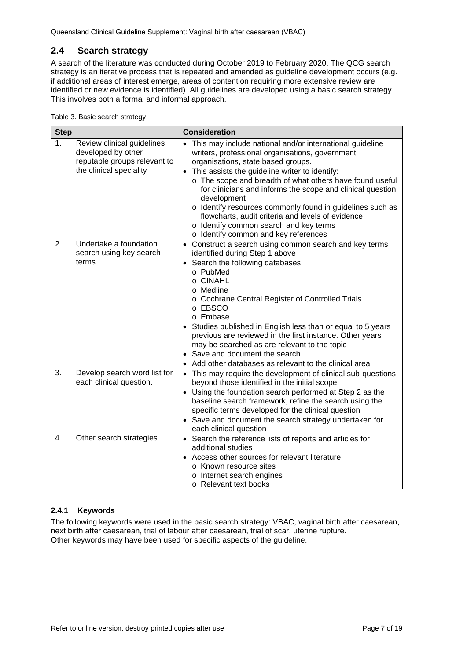# <span id="page-6-0"></span>**2.4 Search strategy**

A search of the literature was conducted during October 2019 to February 2020. The QCG search strategy is an iterative process that is repeated and amended as guideline development occurs (e.g. if additional areas of interest emerge, areas of contention requiring more extensive review are identified or new evidence is identified). All guidelines are developed using a basic search strategy. This involves both a formal and informal approach.

<span id="page-6-2"></span>Table 3. Basic search strategy

| <b>Step</b> |                                                                                                             | <b>Consideration</b>                                                                                                                                                                                                                                                                                                                                                                                                                                                                                                                                                       |  |  |
|-------------|-------------------------------------------------------------------------------------------------------------|----------------------------------------------------------------------------------------------------------------------------------------------------------------------------------------------------------------------------------------------------------------------------------------------------------------------------------------------------------------------------------------------------------------------------------------------------------------------------------------------------------------------------------------------------------------------------|--|--|
| 1.          | Review clinical guidelines<br>developed by other<br>reputable groups relevant to<br>the clinical speciality | This may include national and/or international guideline<br>$\bullet$<br>writers, professional organisations, government<br>organisations, state based groups.<br>This assists the guideline writer to identify:<br>$\bullet$<br>o The scope and breadth of what others have found useful<br>for clinicians and informs the scope and clinical question<br>development<br>o Identify resources commonly found in guidelines such as<br>flowcharts, audit criteria and levels of evidence<br>o Identify common search and key terms<br>o Identify common and key references |  |  |
| 2.          | Undertake a foundation<br>search using key search<br>terms                                                  | • Construct a search using common search and key terms<br>identified during Step 1 above<br>Search the following databases<br>$\bullet$<br>o PubMed<br>$\circ$ CINAHL<br>o Medline<br>o Cochrane Central Register of Controlled Trials<br>o EBSCO<br>o Embase<br>Studies published in English less than or equal to 5 years<br>previous are reviewed in the first instance. Other years<br>may be searched as are relevant to the topic<br>• Save and document the search<br>Add other databases as relevant to the clinical area                                          |  |  |
| 3.          | Develop search word list for<br>each clinical question.                                                     | • This may require the development of clinical sub-questions<br>beyond those identified in the initial scope.<br>• Using the foundation search performed at Step 2 as the<br>baseline search framework, refine the search using the<br>specific terms developed for the clinical question<br>• Save and document the search strategy undertaken for<br>each clinical question                                                                                                                                                                                              |  |  |
| 4.          | Other search strategies                                                                                     | • Search the reference lists of reports and articles for<br>additional studies<br>Access other sources for relevant literature<br>o Known resource sites<br>o Internet search engines<br>o Relevant text books                                                                                                                                                                                                                                                                                                                                                             |  |  |

#### <span id="page-6-1"></span>**2.4.1 Keywords**

The following keywords were used in the basic search strategy: VBAC, vaginal birth after caesarean, next birth after caesarean, trial of labour after caesarean, trial of scar, uterine rupture. Other keywords may have been used for specific aspects of the guideline.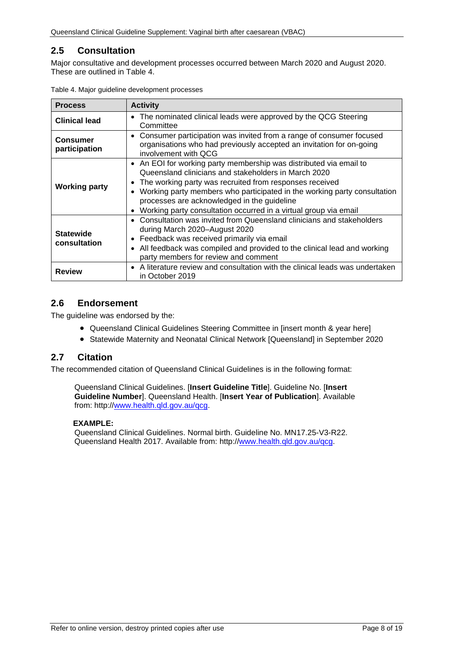# <span id="page-7-0"></span>**2.5 Consultation**

Major consultative and development processes occurred between March 2020 and August 2020. These are outlined in [Table 4.](#page-7-3)

| <b>Process</b>                   | <b>Activity</b>                                                                                                                                                                                                                                                                                                                                                                                   |
|----------------------------------|---------------------------------------------------------------------------------------------------------------------------------------------------------------------------------------------------------------------------------------------------------------------------------------------------------------------------------------------------------------------------------------------------|
| <b>Clinical lead</b>             | The nominated clinical leads were approved by the QCG Steering<br>Committee                                                                                                                                                                                                                                                                                                                       |
| <b>Consumer</b><br>participation | • Consumer participation was invited from a range of consumer focused<br>organisations who had previously accepted an invitation for on-going<br>involvement with OCG                                                                                                                                                                                                                             |
| <b>Working party</b>             | • An EOI for working party membership was distributed via email to<br>Queensland clinicians and stakeholders in March 2020<br>The working party was recruited from responses received<br>$\bullet$<br>Working party members who participated in the working party consultation<br>processes are acknowledged in the guideline<br>Working party consultation occurred in a virtual group via email |
| <b>Statewide</b><br>consultation | Consultation was invited from Queensland clinicians and stakeholders<br>$\bullet$<br>during March 2020-August 2020<br>Feedback was received primarily via email<br>$\bullet$<br>All feedback was compiled and provided to the clinical lead and working<br>$\bullet$<br>party members for review and comment                                                                                      |
| <b>Review</b>                    | A literature review and consultation with the clinical leads was undertaken<br>$\bullet$<br>in October 2019                                                                                                                                                                                                                                                                                       |

<span id="page-7-3"></span>Table 4. Major guideline development processes

# <span id="page-7-1"></span>**2.6 Endorsement**

The guideline was endorsed by the:

- Queensland Clinical Guidelines Steering Committee in [insert month & year here]
- Statewide Maternity and Neonatal Clinical Network [Queensland] in September 2020

## <span id="page-7-2"></span>**2.7 Citation**

The recommended citation of Queensland Clinical Guidelines is in the following format:

Queensland Clinical Guidelines. [**Insert Guideline Title**]. Guideline No. [**Insert Guideline Number**]. Queensland Health. [**Insert Year of Publication**]. Available from: http:/[/www.health.qld.gov.au/qcg.](http://www.health.qld.gov.au/qcg)

#### **EXAMPLE:**

Queensland Clinical Guidelines. Normal birth. Guideline No. MN17.25-V3-R22. Queensland Health 2017. Available from: http:/[/www.health.qld.gov.au/qcg.](http://www.health.qld.gov.au/qcg)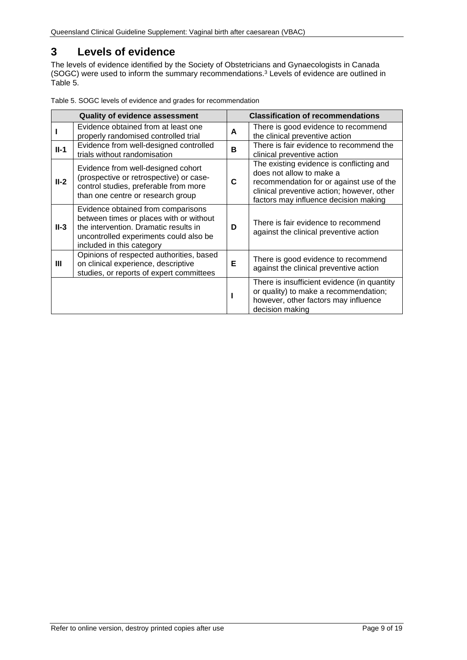# <span id="page-8-0"></span>**3 Levels of evidence**

The levels of evidence identified by the Society of Obstetricians and Gynaecologists in Canada (SOGC) were used to inform the summary recommendations.<sup>3</sup> Levels of evidence are outlined in [Table 5.](#page-8-1) 

| <b>Quality of evidence assessment</b> |                                                                                                                                                                                               |   | <b>Classification of recommendations</b>                                                                                                                                                                |  |
|---------------------------------------|-----------------------------------------------------------------------------------------------------------------------------------------------------------------------------------------------|---|---------------------------------------------------------------------------------------------------------------------------------------------------------------------------------------------------------|--|
|                                       | Evidence obtained from at least one<br>properly randomised controlled trial                                                                                                                   | A | There is good evidence to recommend<br>the clinical preventive action                                                                                                                                   |  |
| $II-1$                                | Evidence from well-designed controlled<br>trials without randomisation                                                                                                                        | в | There is fair evidence to recommend the<br>clinical preventive action                                                                                                                                   |  |
| $II-2$                                | Evidence from well-designed cohort<br>(prospective or retrospective) or case-<br>control studies, preferable from more<br>than one centre or research group                                   | C | The existing evidence is conflicting and<br>does not allow to make a<br>recommendation for or against use of the<br>clinical preventive action; however, other<br>factors may influence decision making |  |
| II-3                                  | Evidence obtained from comparisons<br>between times or places with or without<br>the intervention. Dramatic results in<br>uncontrolled experiments could also be<br>included in this category | D | There is fair evidence to recommend<br>against the clinical preventive action                                                                                                                           |  |
| Ш                                     | Opinions of respected authorities, based<br>on clinical experience, descriptive<br>studies, or reports of expert committees                                                                   | E | There is good evidence to recommend<br>against the clinical preventive action                                                                                                                           |  |
|                                       |                                                                                                                                                                                               |   | There is insufficient evidence (in quantity<br>or quality) to make a recommendation;<br>however, other factors may influence<br>decision making                                                         |  |

<span id="page-8-1"></span>Table 5. SOGC levels of evidence and grades for recommendation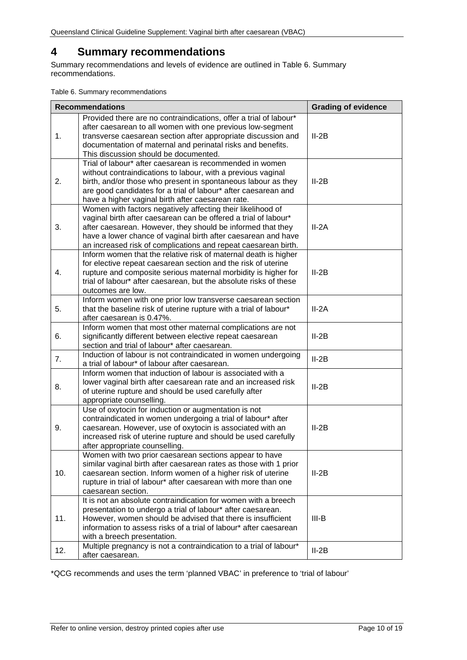# <span id="page-9-0"></span>**4 Summary recommendations**

Summary recommendations and levels of evidence are outlined in Table 6. [Summary](#page-9-1)  [recommendations.](#page-9-1)

<span id="page-9-1"></span>Table 6. Summary recommendations

|     | <b>Recommendations</b>                                                                                                                                                                                                                                                                                                           | <b>Grading of evidence</b> |
|-----|----------------------------------------------------------------------------------------------------------------------------------------------------------------------------------------------------------------------------------------------------------------------------------------------------------------------------------|----------------------------|
| 1.  | Provided there are no contraindications, offer a trial of labour*<br>after caesarean to all women with one previous low-segment<br>transverse caesarean section after appropriate discussion and<br>documentation of maternal and perinatal risks and benefits.<br>This discussion should be documented.                         | $II-2B$                    |
| 2.  | Trial of labour* after caesarean is recommended in women<br>without contraindications to labour, with a previous vaginal<br>birth, and/or those who present in spontaneous labour as they<br>are good candidates for a trial of labour* after caesarean and<br>have a higher vaginal birth after caesarean rate.                 | $II-2B$                    |
| 3.  | Women with factors negatively affecting their likelihood of<br>vaginal birth after caesarean can be offered a trial of labour*<br>after caesarean. However, they should be informed that they<br>have a lower chance of vaginal birth after caesarean and have<br>an increased risk of complications and repeat caesarean birth. | $II - 2A$                  |
| 4.  | Inform women that the relative risk of maternal death is higher<br>for elective repeat caesarean section and the risk of uterine<br>rupture and composite serious maternal morbidity is higher for<br>trial of labour* after caesarean, but the absolute risks of these<br>outcomes are low.                                     | $II-2B$                    |
| 5.  | Inform women with one prior low transverse caesarean section<br>that the baseline risk of uterine rupture with a trial of labour*<br>after caesarean is 0.47%.                                                                                                                                                                   | $II - 2A$                  |
| 6.  | Inform women that most other maternal complications are not<br>significantly different between elective repeat caesarean<br>section and trial of labour* after caesarean.                                                                                                                                                        | $II-2B$                    |
| 7.  | Induction of labour is not contraindicated in women undergoing<br>a trial of labour* of labour after caesarean.                                                                                                                                                                                                                  | $II-2B$                    |
| 8.  | Inform women that induction of labour is associated with a<br>lower vaginal birth after caesarean rate and an increased risk<br>of uterine rupture and should be used carefully after<br>appropriate counselling.                                                                                                                | $II-2B$                    |
| 9.  | Use of oxytocin for induction or augmentation is not<br>contraindicated in women undergoing a trial of labour* after<br>caesarean. However, use of oxytocin is associated with an<br>increased risk of uterine rupture and should be used carefully<br>after appropriate counselling.                                            | $II-2B$                    |
| 10. | Women with two prior caesarean sections appear to have<br>similar vaginal birth after caesarean rates as those with 1 prior<br>caesarean section. Inform women of a higher risk of uterine<br>rupture in trial of labour* after caesarean with more than one<br>caesarean section.                                               | $II-2B$                    |
| 11. | It is not an absolute contraindication for women with a breech<br>presentation to undergo a trial of labour* after caesarean.<br>However, women should be advised that there is insufficient<br>information to assess risks of a trial of labour* after caesarean<br>with a breech presentation.                                 | $III-B$                    |
| 12. | Multiple pregnancy is not a contraindication to a trial of labour*<br>after caesarean.                                                                                                                                                                                                                                           | $II-2B$                    |

\*QCG recommends and uses the term 'planned VBAC' in preference to 'trial of labour'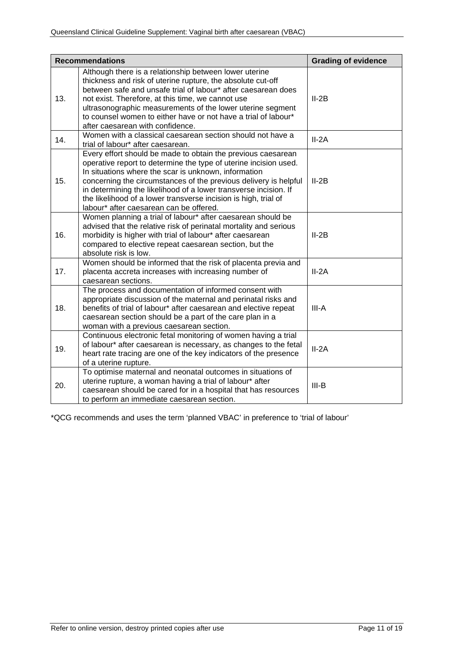|     | <b>Recommendations</b>                                                                                                                                                                                                                                                                                                                                                                                                                         | <b>Grading of evidence</b> |
|-----|------------------------------------------------------------------------------------------------------------------------------------------------------------------------------------------------------------------------------------------------------------------------------------------------------------------------------------------------------------------------------------------------------------------------------------------------|----------------------------|
| 13. | Although there is a relationship between lower uterine<br>thickness and risk of uterine rupture, the absolute cut-off<br>between safe and unsafe trial of labour* after caesarean does<br>not exist. Therefore, at this time, we cannot use<br>ultrasonographic measurements of the lower uterine segment<br>to counsel women to either have or not have a trial of labour*<br>after caesarean with confidence.                                | $II-2B$                    |
| 14. | Women with a classical caesarean section should not have a<br>trial of labour* after caesarean.                                                                                                                                                                                                                                                                                                                                                | $II-2A$                    |
| 15. | Every effort should be made to obtain the previous caesarean<br>operative report to determine the type of uterine incision used.<br>In situations where the scar is unknown, information<br>concerning the circumstances of the previous delivery is helpful<br>in determining the likelihood of a lower transverse incision. If<br>the likelihood of a lower transverse incision is high, trial of<br>labour* after caesarean can be offered. | $II-2B$                    |
| 16. | Women planning a trial of labour* after caesarean should be<br>advised that the relative risk of perinatal mortality and serious<br>morbidity is higher with trial of labour* after caesarean<br>compared to elective repeat caesarean section, but the<br>absolute risk is low.                                                                                                                                                               | $II-2B$                    |
| 17. | Women should be informed that the risk of placenta previa and<br>placenta accreta increases with increasing number of<br>caesarean sections.                                                                                                                                                                                                                                                                                                   | $II-2A$                    |
| 18. | The process and documentation of informed consent with<br>appropriate discussion of the maternal and perinatal risks and<br>benefits of trial of labour* after caesarean and elective repeat<br>caesarean section should be a part of the care plan in a<br>woman with a previous caesarean section.                                                                                                                                           | III-A                      |
| 19. | Continuous electronic fetal monitoring of women having a trial<br>of labour* after caesarean is necessary, as changes to the fetal<br>heart rate tracing are one of the key indicators of the presence<br>of a uterine rupture.                                                                                                                                                                                                                | $II-2A$                    |
| 20. | To optimise maternal and neonatal outcomes in situations of<br>uterine rupture, a woman having a trial of labour* after<br>caesarean should be cared for in a hospital that has resources<br>to perform an immediate caesarean section.                                                                                                                                                                                                        | $III-B$                    |

\*QCG recommends and uses the term 'planned VBAC' in preference to 'trial of labour'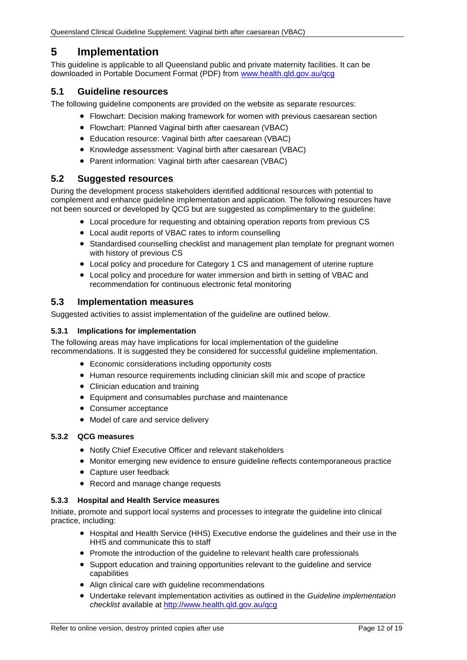# <span id="page-11-0"></span>**5 Implementation**

This guideline is applicable to all Queensland public and private maternity facilities. It can be downloaded in Portable Document Format (PDF) from [www.health.qld.gov.au/qcg](http://www.health.qld.gov.au/qcg)

## <span id="page-11-1"></span>**5.1 Guideline resources**

The following guideline components are provided on the website as separate resources:

- Flowchart: Decision making framework for women with previous caesarean section
- Flowchart: Planned Vaginal birth after caesarean (VBAC)
- Education resource: Vaginal birth after caesarean (VBAC)
- Knowledge assessment: Vaginal birth after caesarean (VBAC)
- Parent information: Vaginal birth after caesarean (VBAC)

## <span id="page-11-2"></span>**5.2 Suggested resources**

During the development process stakeholders identified additional resources with potential to complement and enhance guideline implementation and application. The following resources have not been sourced or developed by QCG but are suggested as complimentary to the guideline:

- Local procedure for requesting and obtaining operation reports from previous CS
- Local audit reports of VBAC rates to inform counselling
- Standardised counselling checklist and management plan template for pregnant women with history of previous CS
- Local policy and procedure for Category 1 CS and management of uterine rupture
- Local policy and procedure for water immersion and birth in setting of VBAC and recommendation for continuous electronic fetal monitoring

## <span id="page-11-3"></span>**5.3 Implementation measures**

Suggested activities to assist implementation of the quideline are outlined below.

#### <span id="page-11-4"></span>**5.3.1 Implications for implementation**

The following areas may have implications for local implementation of the guideline recommendations. It is suggested they be considered for successful guideline implementation.

- Economic considerations including opportunity costs
- Human resource requirements including clinician skill mix and scope of practice
- Clinician education and training
- Equipment and consumables purchase and maintenance
- Consumer acceptance
- Model of care and service delivery

#### <span id="page-11-5"></span>**5.3.2 QCG measures**

- Notify Chief Executive Officer and relevant stakeholders
- Monitor emerging new evidence to ensure guideline reflects contemporaneous practice
- Capture user feedback
- Record and manage change requests

#### <span id="page-11-6"></span>**5.3.3 Hospital and Health Service measures**

Initiate, promote and support local systems and processes to integrate the guideline into clinical practice, including:

- Hospital and Health Service (HHS) Executive endorse the guidelines and their use in the HHS and communicate this to staff
- Promote the introduction of the guideline to relevant health care professionals
- Support education and training opportunities relevant to the guideline and service capabilities
- Align clinical care with guideline recommendations
- Undertake relevant implementation activities as outlined in the *Guideline implementation checklist* available at<http://www.health.qld.gov.au/qcg>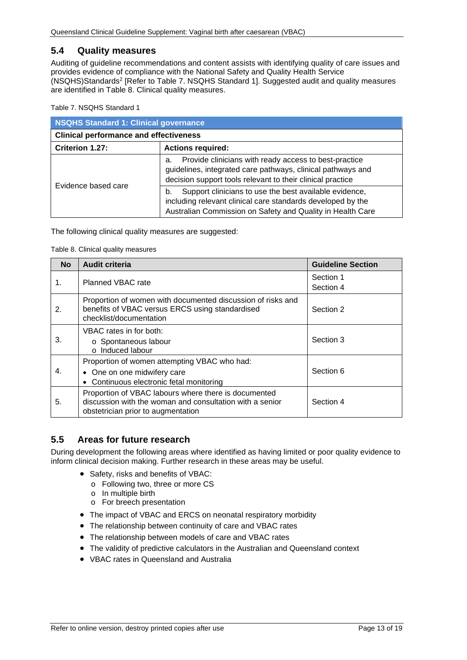## <span id="page-12-0"></span>**5.4 Quality measures**

Auditing of guideline recommendations and content assists with identifying quality of care issues and provides evidence of compliance with the National Safety and Quality Health Service (NSQHS)Standards2 [Refer to Table 7. [NSQHS Standard 1\]](#page-12-2). Suggested audit and quality measures are identified in [Table 8. Clinical quality measures.](#page-12-3)

<span id="page-12-2"></span>Table 7. NSQHS Standard 1

| NSQHS Standard 1: Clinical governance         |                                                                                                                                                                                           |  |
|-----------------------------------------------|-------------------------------------------------------------------------------------------------------------------------------------------------------------------------------------------|--|
| <b>Clinical performance and effectiveness</b> |                                                                                                                                                                                           |  |
| Criterion 1.27:                               | <b>Actions required:</b>                                                                                                                                                                  |  |
| Evidence based care                           | Provide clinicians with ready access to best-practice<br>а.<br>guidelines, integrated care pathways, clinical pathways and<br>decision support tools relevant to their clinical practice  |  |
|                                               | Support clinicians to use the best available evidence,<br>b.<br>including relevant clinical care standards developed by the<br>Australian Commission on Safety and Quality in Health Care |  |

<span id="page-12-3"></span>The following clinical quality measures are suggested:

#### Table 8. Clinical quality measures

| <b>No</b> | <b>Audit criteria</b>                                                                                                                                  | <b>Guideline Section</b> |
|-----------|--------------------------------------------------------------------------------------------------------------------------------------------------------|--------------------------|
| 1.        | Planned VBAC rate                                                                                                                                      | Section 1<br>Section 4   |
| 2.        | Proportion of women with documented discussion of risks and<br>benefits of VBAC versus ERCS using standardised<br>checklist/documentation              | Section 2                |
| 3.        | VBAC rates in for both:<br>o Spontaneous labour<br>o Induced labour                                                                                    | Section 3                |
| 4.        | Proportion of women attempting VBAC who had:<br>• One on one midwifery care<br>• Continuous electronic fetal monitoring                                | Section 6                |
| 5.        | Proportion of VBAC labours where there is documented<br>discussion with the woman and consultation with a senior<br>obstetrician prior to augmentation | Section 4                |

# <span id="page-12-1"></span>**5.5 Areas for future research**

During development the following areas where identified as having limited or poor quality evidence to inform clinical decision making. Further research in these areas may be useful.

- Safety, risks and benefits of VBAC:
	- o Following two, three or more CS
	- o In multiple birth
	- o For breech presentation
- The impact of VBAC and ERCS on neonatal respiratory morbidity
- The relationship between continuity of care and VBAC rates
- The relationship between models of care and VBAC rates
- The validity of predictive calculators in the Australian and Queensland context
- VBAC rates in Queensland and Australia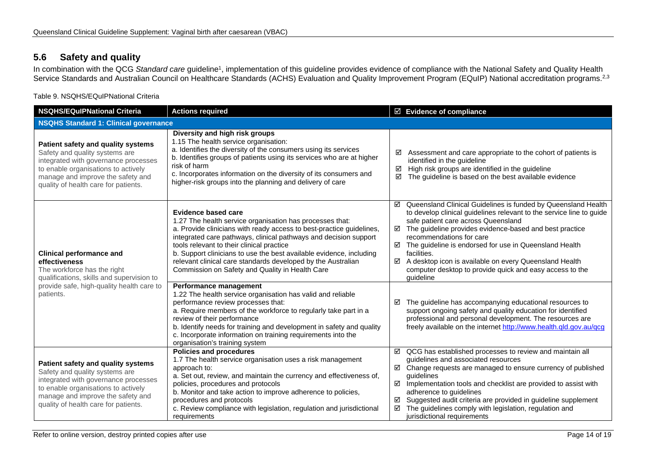# **5.6 Safety and quality**

In combination with the QCG *Standard care* guideline1, implementation of this guideline provides evidence of compliance with the National Safety and Quality Health Service Standards and Australian Council on Healthcare Standards (ACHS) Evaluation and Quality Improvement Program (EQuIP) National accreditation programs.<sup>2,3</sup>

Table 9. NSQHS/EQuIPNational Criteria

<span id="page-13-1"></span><span id="page-13-0"></span>

| <b>NSQHS/EQuIPNational Criteria</b>                                                                                                                                                                                              | <b>Actions required</b>                                                                                                                                                                                                                                                                                                                                                                                                                                                   | $\boxtimes$ Evidence of compliance                                                                                                                                                                                                                                                                                                                                                                                                                                                                   |
|----------------------------------------------------------------------------------------------------------------------------------------------------------------------------------------------------------------------------------|---------------------------------------------------------------------------------------------------------------------------------------------------------------------------------------------------------------------------------------------------------------------------------------------------------------------------------------------------------------------------------------------------------------------------------------------------------------------------|------------------------------------------------------------------------------------------------------------------------------------------------------------------------------------------------------------------------------------------------------------------------------------------------------------------------------------------------------------------------------------------------------------------------------------------------------------------------------------------------------|
| <b>NSQHS Standard 1: Clinical governance</b>                                                                                                                                                                                     |                                                                                                                                                                                                                                                                                                                                                                                                                                                                           |                                                                                                                                                                                                                                                                                                                                                                                                                                                                                                      |
| Patient safety and quality systems<br>Safety and quality systems are<br>integrated with governance processes<br>to enable organisations to actively<br>manage and improve the safety and<br>quality of health care for patients. | Diversity and high risk groups<br>1.15 The health service organisation:<br>a. Identifies the diversity of the consumers using its services<br>b. Identifies groups of patients using its services who are at higher<br>risk of harm<br>c. Incorporates information on the diversity of its consumers and<br>higher-risk groups into the planning and delivery of care                                                                                                     | Assessment and care appropriate to the cohort of patients is<br>☑<br>identified in the guideline<br>High risk groups are identified in the guideline<br>☑<br>☑<br>The guideline is based on the best available evidence                                                                                                                                                                                                                                                                              |
| <b>Clinical performance and</b><br>effectiveness<br>The workforce has the right<br>qualifications, skills and supervision to                                                                                                     | <b>Evidence based care</b><br>1.27 The health service organisation has processes that:<br>a. Provide clinicians with ready access to best-practice guidelines,<br>integrated care pathways, clinical pathways and decision support<br>tools relevant to their clinical practice<br>b. Support clinicians to use the best available evidence, including<br>relevant clinical care standards developed by the Australian<br>Commission on Safety and Quality in Health Care | ☑ Queensland Clinical Guidelines is funded by Queensland Health<br>to develop clinical guidelines relevant to the service line to guide<br>safe patient care across Queensland<br>$\boxtimes$ The guideline provides evidence-based and best practice<br>recommendations for care<br>☑ The guideline is endorsed for use in Queensland Health<br>facilities.<br>☑<br>A desktop icon is available on every Queensland Health<br>computer desktop to provide quick and easy access to the<br>quideline |
| provide safe, high-quality health care to<br>patients.                                                                                                                                                                           | Performance management<br>1.22 The health service organisation has valid and reliable<br>performance review processes that:<br>a. Require members of the workforce to regularly take part in a<br>review of their performance<br>b. Identify needs for training and development in safety and quality<br>c. Incorporate information on training requirements into the<br>organisation's training system                                                                   | The guideline has accompanying educational resources to<br>☑<br>support ongoing safety and quality education for identified<br>professional and personal development. The resources are<br>freely available on the internet http://www.health.qld.gov.au/qcg                                                                                                                                                                                                                                         |
| Patient safety and quality systems<br>Safety and quality systems are<br>integrated with governance processes<br>to enable organisations to actively<br>manage and improve the safety and<br>quality of health care for patients. | <b>Policies and procedures</b><br>1.7 The health service organisation uses a risk management<br>approach to:<br>a. Set out, review, and maintain the currency and effectiveness of,<br>policies, procedures and protocols<br>b. Monitor and take action to improve adherence to policies,<br>procedures and protocols<br>c. Review compliance with legislation, regulation and jurisdictional<br>requirements                                                             | ☑ QCG has established processes to review and maintain all<br>guidelines and associated resources<br>☑ Change requests are managed to ensure currency of published<br>quidelines<br>Implementation tools and checklist are provided to assist with<br>☑<br>adherence to guidelines<br>Suggested audit criteria are provided in guideline supplement<br>☑<br>☑<br>The guidelines comply with legislation, regulation and<br>jurisdictional requirements                                               |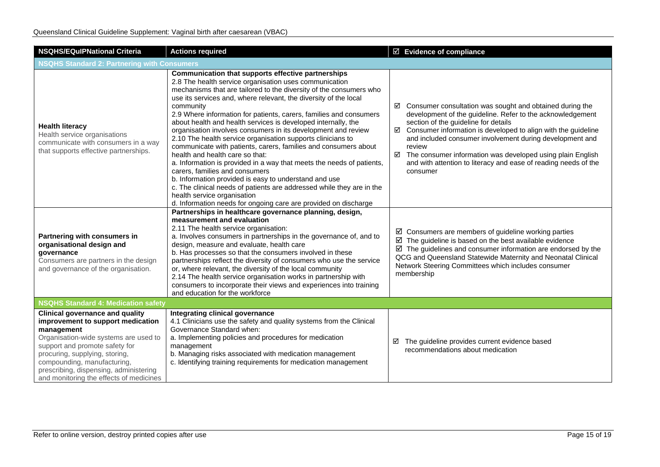| <b>NSQHS/EQuIPNational Criteria</b>                                                                                                                                                                                                                                                                                        | <b>Actions required</b>                                                                                                                                                                                                                                                                                                                                                                                                                                                                                                                                                                                                                                                                                                                                                                                                                                                                                                                                                                         | $\boxtimes$ Evidence of compliance                                                                                                                                                                                                                                                                                                                                                                                                                                    |  |
|----------------------------------------------------------------------------------------------------------------------------------------------------------------------------------------------------------------------------------------------------------------------------------------------------------------------------|-------------------------------------------------------------------------------------------------------------------------------------------------------------------------------------------------------------------------------------------------------------------------------------------------------------------------------------------------------------------------------------------------------------------------------------------------------------------------------------------------------------------------------------------------------------------------------------------------------------------------------------------------------------------------------------------------------------------------------------------------------------------------------------------------------------------------------------------------------------------------------------------------------------------------------------------------------------------------------------------------|-----------------------------------------------------------------------------------------------------------------------------------------------------------------------------------------------------------------------------------------------------------------------------------------------------------------------------------------------------------------------------------------------------------------------------------------------------------------------|--|
| <b>NSQHS Standard 2: Partnering with Consumers</b>                                                                                                                                                                                                                                                                         |                                                                                                                                                                                                                                                                                                                                                                                                                                                                                                                                                                                                                                                                                                                                                                                                                                                                                                                                                                                                 |                                                                                                                                                                                                                                                                                                                                                                                                                                                                       |  |
| <b>Health literacy</b><br>Health service organisations<br>communicate with consumers in a way<br>that supports effective partnerships.                                                                                                                                                                                     | Communication that supports effective partnerships<br>2.8 The health service organisation uses communication<br>mechanisms that are tailored to the diversity of the consumers who<br>use its services and, where relevant, the diversity of the local<br>community<br>2.9 Where information for patients, carers, families and consumers<br>about health and health services is developed internally, the<br>organisation involves consumers in its development and review<br>2.10 The health service organisation supports clinicians to<br>communicate with patients, carers, families and consumers about<br>health and health care so that:<br>a. Information is provided in a way that meets the needs of patients,<br>carers, families and consumers<br>b. Information provided is easy to understand and use<br>c. The clinical needs of patients are addressed while they are in the<br>health service organisation<br>d. Information needs for ongoing care are provided on discharge | $\boxtimes$ Consumer consultation was sought and obtained during the<br>development of the guideline. Refer to the acknowledgement<br>section of the guideline for details<br>Consumer information is developed to align with the guideline<br>☑<br>and included consumer involvement during development and<br>review<br>☑ The consumer information was developed using plain English<br>and with attention to literacy and ease of reading needs of the<br>consumer |  |
| Partnering with consumers in<br>organisational design and<br>governance<br>Consumers are partners in the design<br>and governance of the organisation.                                                                                                                                                                     | Partnerships in healthcare governance planning, design,<br>measurement and evaluation<br>2.11 The health service organisation:<br>a. Involves consumers in partnerships in the governance of, and to<br>design, measure and evaluate, health care<br>b. Has processes so that the consumers involved in these<br>partnerships reflect the diversity of consumers who use the service<br>or, where relevant, the diversity of the local community<br>2.14 The health service organisation works in partnership with<br>consumers to incorporate their views and experiences into training<br>and education for the workforce                                                                                                                                                                                                                                                                                                                                                                     | $\boxtimes$ Consumers are members of guideline working parties<br>$\boxtimes$ The guideline is based on the best available evidence<br>$\boxtimes$ The guidelines and consumer information are endorsed by the<br>QCG and Queensland Statewide Maternity and Neonatal Clinical<br>Network Steering Committees which includes consumer<br>membership                                                                                                                   |  |
| <b>NSQHS Standard 4: Medication safety</b>                                                                                                                                                                                                                                                                                 |                                                                                                                                                                                                                                                                                                                                                                                                                                                                                                                                                                                                                                                                                                                                                                                                                                                                                                                                                                                                 |                                                                                                                                                                                                                                                                                                                                                                                                                                                                       |  |
| <b>Clinical governance and quality</b><br>improvement to support medication<br>management<br>Organisation-wide systems are used to<br>support and promote safety for<br>procuring, supplying, storing,<br>compounding, manufacturing,<br>prescribing, dispensing, administering<br>and monitoring the effects of medicines | Integrating clinical governance<br>4.1 Clinicians use the safety and quality systems from the Clinical<br>Governance Standard when:<br>a. Implementing policies and procedures for medication<br>management<br>b. Managing risks associated with medication management<br>c. Identifying training requirements for medication management                                                                                                                                                                                                                                                                                                                                                                                                                                                                                                                                                                                                                                                        | The guideline provides current evidence based<br>☑<br>recommendations about medication                                                                                                                                                                                                                                                                                                                                                                                |  |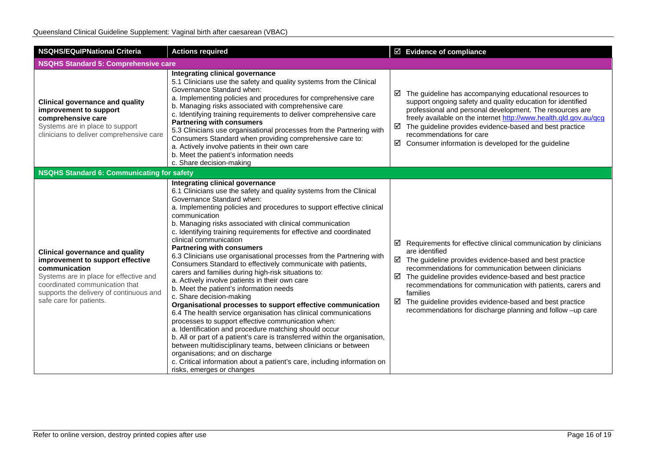| <b>NSQHS/EQuIPNational Criteria</b>                                                                                                                                                                                                           | <b>Actions required</b>                                                                                                                                                                                                                                                                                                                                                                                                                                                                                                                                                                                                                                                                                                                                                                                                                                                                                                                                                                                                                                                                                                                                                                                                                                                                            | $\boxtimes$ Evidence of compliance                                                                                                                                                                                                                                                                                                                                                                                                                                                                    |
|-----------------------------------------------------------------------------------------------------------------------------------------------------------------------------------------------------------------------------------------------|----------------------------------------------------------------------------------------------------------------------------------------------------------------------------------------------------------------------------------------------------------------------------------------------------------------------------------------------------------------------------------------------------------------------------------------------------------------------------------------------------------------------------------------------------------------------------------------------------------------------------------------------------------------------------------------------------------------------------------------------------------------------------------------------------------------------------------------------------------------------------------------------------------------------------------------------------------------------------------------------------------------------------------------------------------------------------------------------------------------------------------------------------------------------------------------------------------------------------------------------------------------------------------------------------|-------------------------------------------------------------------------------------------------------------------------------------------------------------------------------------------------------------------------------------------------------------------------------------------------------------------------------------------------------------------------------------------------------------------------------------------------------------------------------------------------------|
| <b>NSQHS Standard 5: Comprehensive care</b>                                                                                                                                                                                                   |                                                                                                                                                                                                                                                                                                                                                                                                                                                                                                                                                                                                                                                                                                                                                                                                                                                                                                                                                                                                                                                                                                                                                                                                                                                                                                    |                                                                                                                                                                                                                                                                                                                                                                                                                                                                                                       |
| <b>Clinical governance and quality</b><br>improvement to support<br>comprehensive care<br>Systems are in place to support<br>clinicians to deliver comprehensive care                                                                         | Integrating clinical governance<br>5.1 Clinicians use the safety and quality systems from the Clinical<br>Governance Standard when:<br>a. Implementing policies and procedures for comprehensive care<br>b. Managing risks associated with comprehensive care<br>c. Identifying training requirements to deliver comprehensive care<br><b>Partnering with consumers</b><br>5.3 Clinicians use organisational processes from the Partnering with<br>Consumers Standard when providing comprehensive care to:<br>a. Actively involve patients in their own care<br>b. Meet the patient's information needs<br>c. Share decision-making                                                                                                                                                                                                                                                                                                                                                                                                                                                                                                                                                                                                                                                               | $\boxtimes$ The guideline has accompanying educational resources to<br>support ongoing safety and quality education for identified<br>professional and personal development. The resources are<br>freely available on the internet http://www.health.qld.gov.au/qcg<br>$\boxtimes$ The guideline provides evidence-based and best practice<br>recommendations for care<br>☑<br>Consumer information is developed for the guideline                                                                    |
| <b>NSQHS Standard 6: Communicating for safety</b>                                                                                                                                                                                             |                                                                                                                                                                                                                                                                                                                                                                                                                                                                                                                                                                                                                                                                                                                                                                                                                                                                                                                                                                                                                                                                                                                                                                                                                                                                                                    |                                                                                                                                                                                                                                                                                                                                                                                                                                                                                                       |
| <b>Clinical governance and quality</b><br>improvement to support effective<br>communication<br>Systems are in place for effective and<br>coordinated communication that<br>supports the delivery of continuous and<br>safe care for patients. | Integrating clinical governance<br>6.1 Clinicians use the safety and quality systems from the Clinical<br>Governance Standard when:<br>a. Implementing policies and procedures to support effective clinical<br>communication<br>b. Managing risks associated with clinical communication<br>c. Identifying training requirements for effective and coordinated<br>clinical communication<br><b>Partnering with consumers</b><br>6.3 Clinicians use organisational processes from the Partnering with<br>Consumers Standard to effectively communicate with patients,<br>carers and families during high-risk situations to:<br>a. Actively involve patients in their own care<br>b. Meet the patient's information needs<br>c. Share decision-making<br>Organisational processes to support effective communication<br>6.4 The health service organisation has clinical communications<br>processes to support effective communication when:<br>a. Identification and procedure matching should occur<br>b. All or part of a patient's care is transferred within the organisation,<br>between multidisciplinary teams, between clinicians or between<br>organisations; and on discharge<br>c. Critical information about a patient's care, including information on<br>risks, emerges or changes | $\boxtimes$ Requirements for effective clinical communication by clinicians<br>are identified<br>$\boxtimes$ The guideline provides evidence-based and best practice<br>recommendations for communication between clinicians<br>The guideline provides evidence-based and best practice<br>☑<br>recommendations for communication with patients, carers and<br>families<br>The guideline provides evidence-based and best practice<br>☑<br>recommendations for discharge planning and follow -up care |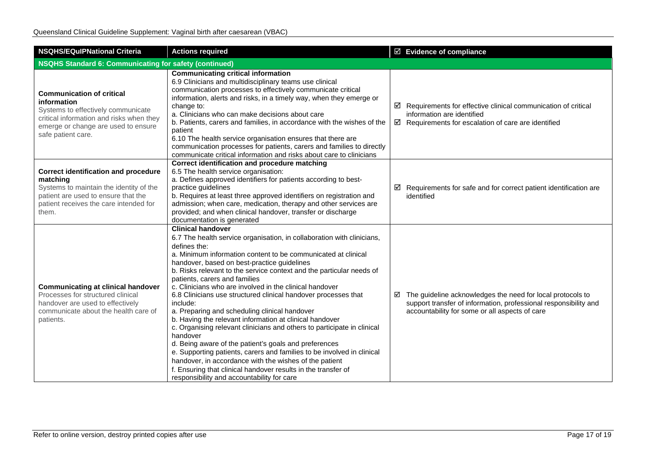| <b>NSQHS/EQuIPNational Criteria</b>                                                                                                                                                            | <b>Actions required</b>                                                                                                                                                                                                                                                                                                                                                                                                                                                                                                                                                                                                                                                                                                                                                                                                                                                                                                                                                                             | ☑ Evidence of compliance                                                                                                                                                                     |  |  |
|------------------------------------------------------------------------------------------------------------------------------------------------------------------------------------------------|-----------------------------------------------------------------------------------------------------------------------------------------------------------------------------------------------------------------------------------------------------------------------------------------------------------------------------------------------------------------------------------------------------------------------------------------------------------------------------------------------------------------------------------------------------------------------------------------------------------------------------------------------------------------------------------------------------------------------------------------------------------------------------------------------------------------------------------------------------------------------------------------------------------------------------------------------------------------------------------------------------|----------------------------------------------------------------------------------------------------------------------------------------------------------------------------------------------|--|--|
|                                                                                                                                                                                                | <b>NSQHS Standard 6: Communicating for safety (continued)</b>                                                                                                                                                                                                                                                                                                                                                                                                                                                                                                                                                                                                                                                                                                                                                                                                                                                                                                                                       |                                                                                                                                                                                              |  |  |
| <b>Communication of critical</b><br>information<br>Systems to effectively communicate<br>critical information and risks when they<br>emerge or change are used to ensure<br>safe patient care. | <b>Communicating critical information</b><br>6.9 Clinicians and multidisciplinary teams use clinical<br>communication processes to effectively communicate critical<br>information, alerts and risks, in a timely way, when they emerge or<br>change to:<br>a. Clinicians who can make decisions about care<br>b. Patients, carers and families, in accordance with the wishes of the<br>patient<br>6.10 The health service organisation ensures that there are<br>communication processes for patients, carers and families to directly<br>communicate critical information and risks about care to clinicians                                                                                                                                                                                                                                                                                                                                                                                     | $\boxtimes$ Requirements for effective clinical communication of critical<br>information are identified<br>$\boxtimes$ Requirements for escalation of care are identified                    |  |  |
| <b>Correct identification and procedure</b><br>matching<br>Systems to maintain the identity of the<br>patient are used to ensure that the<br>patient receives the care intended for<br>them.   | Correct identification and procedure matching<br>6.5 The health service organisation:<br>a. Defines approved identifiers for patients according to best-<br>practice guidelines<br>b. Requires at least three approved identifiers on registration and<br>admission; when care, medication, therapy and other services are<br>provided; and when clinical handover, transfer or discharge<br>documentation is generated                                                                                                                                                                                                                                                                                                                                                                                                                                                                                                                                                                             | $\boxtimes$ Requirements for safe and for correct patient identification are<br>identified                                                                                                   |  |  |
| <b>Communicating at clinical handover</b><br>Processes for structured clinical<br>handover are used to effectively<br>communicate about the health care of<br>patients.                        | <b>Clinical handover</b><br>6.7 The health service organisation, in collaboration with clinicians,<br>defines the:<br>a. Minimum information content to be communicated at clinical<br>handover, based on best-practice guidelines<br>b. Risks relevant to the service context and the particular needs of<br>patients, carers and families<br>c. Clinicians who are involved in the clinical handover<br>6.8 Clinicians use structured clinical handover processes that<br>include:<br>a. Preparing and scheduling clinical handover<br>b. Having the relevant information at clinical handover<br>c. Organising relevant clinicians and others to participate in clinical<br>handover<br>d. Being aware of the patient's goals and preferences<br>e. Supporting patients, carers and families to be involved in clinical<br>handover, in accordance with the wishes of the patient<br>f. Ensuring that clinical handover results in the transfer of<br>responsibility and accountability for care | $\boxtimes$ The guideline acknowledges the need for local protocols to<br>support transfer of information, professional responsibility and<br>accountability for some or all aspects of care |  |  |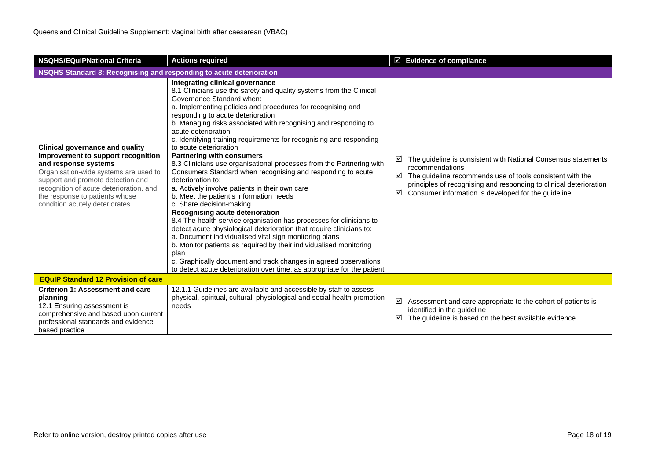| <b>NSQHS/EQulPNational Criteria</b>                                                                                                                                                                                                                                                                | <b>Actions required</b>                                                                                                                                                                                                                                                                                                                                                                                                                                                                                                                                                                                                                                                                                                                                                                                                                                                                                                                                                                                                                                                                                                                                                                                                              | $\boxtimes$ Evidence of compliance                                                                                                                                                                                                                                                         |  |
|----------------------------------------------------------------------------------------------------------------------------------------------------------------------------------------------------------------------------------------------------------------------------------------------------|--------------------------------------------------------------------------------------------------------------------------------------------------------------------------------------------------------------------------------------------------------------------------------------------------------------------------------------------------------------------------------------------------------------------------------------------------------------------------------------------------------------------------------------------------------------------------------------------------------------------------------------------------------------------------------------------------------------------------------------------------------------------------------------------------------------------------------------------------------------------------------------------------------------------------------------------------------------------------------------------------------------------------------------------------------------------------------------------------------------------------------------------------------------------------------------------------------------------------------------|--------------------------------------------------------------------------------------------------------------------------------------------------------------------------------------------------------------------------------------------------------------------------------------------|--|
| NSQHS Standard 8: Recognising and responding to acute deterioration                                                                                                                                                                                                                                |                                                                                                                                                                                                                                                                                                                                                                                                                                                                                                                                                                                                                                                                                                                                                                                                                                                                                                                                                                                                                                                                                                                                                                                                                                      |                                                                                                                                                                                                                                                                                            |  |
| <b>Clinical governance and quality</b><br>improvement to support recognition<br>and response systems<br>Organisation-wide systems are used to<br>support and promote detection and<br>recognition of acute deterioration, and<br>the response to patients whose<br>condition acutely deteriorates. | Integrating clinical governance<br>8.1 Clinicians use the safety and quality systems from the Clinical<br>Governance Standard when:<br>a. Implementing policies and procedures for recognising and<br>responding to acute deterioration<br>b. Managing risks associated with recognising and responding to<br>acute deterioration<br>c. Identifying training requirements for recognising and responding<br>to acute deterioration<br><b>Partnering with consumers</b><br>8.3 Clinicians use organisational processes from the Partnering with<br>Consumers Standard when recognising and responding to acute<br>deterioration to:<br>a. Actively involve patients in their own care<br>b. Meet the patient's information needs<br>c. Share decision-making<br>Recognising acute deterioration<br>8.4 The health service organisation has processes for clinicians to<br>detect acute physiological deterioration that require clinicians to:<br>a. Document individualised vital sign monitoring plans<br>b. Monitor patients as required by their individualised monitoring<br>plan<br>c. Graphically document and track changes in agreed observations<br>to detect acute deterioration over time, as appropriate for the patient | The guideline is consistent with National Consensus statements<br>⊻<br>recommendations<br>The guideline recommends use of tools consistent with the<br>☑<br>principles of recognising and responding to clinical deterioration<br>Consumer information is developed for the guideline<br>☑ |  |
| <b>EQuIP Standard 12 Provision of care</b>                                                                                                                                                                                                                                                         |                                                                                                                                                                                                                                                                                                                                                                                                                                                                                                                                                                                                                                                                                                                                                                                                                                                                                                                                                                                                                                                                                                                                                                                                                                      |                                                                                                                                                                                                                                                                                            |  |
| <b>Criterion 1: Assessment and care</b><br>planning<br>12.1 Ensuring assessment is<br>comprehensive and based upon current<br>professional standards and evidence<br>based practice                                                                                                                | 12.1.1 Guidelines are available and accessible by staff to assess<br>physical, spiritual, cultural, physiological and social health promotion<br>needs                                                                                                                                                                                                                                                                                                                                                                                                                                                                                                                                                                                                                                                                                                                                                                                                                                                                                                                                                                                                                                                                               | ☑<br>Assessment and care appropriate to the cohort of patients is<br>identified in the guideline<br>The guideline is based on the best available evidence<br>☑                                                                                                                             |  |